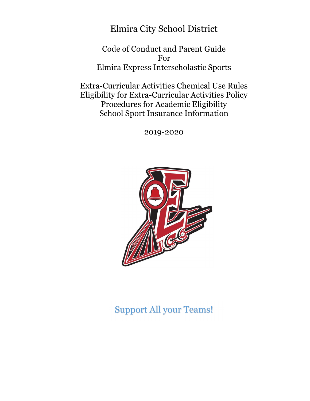Elmira City School District

Code of Conduct and Parent Guide For Elmira Express Interscholastic Sports

Extra-Curricular Activities Chemical Use Rules Eligibility for Extra-Curricular Activities Policy Procedures for Academic Eligibility School Sport Insurance Information

2019-2020



Support All your Teams!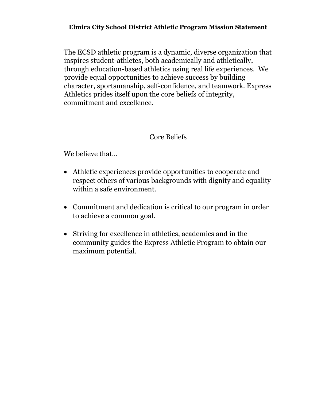## Elmira City School District Athletic Program Mission Statement

The ECSD athletic program is a dynamic, diverse organization that inspires student-athletes, both academically and athletically, through education-based athletics using real life experiences. We provide equal opportunities to achieve success by building character, sportsmanship, self-confidence, and teamwork. Express Athletics prides itself upon the core beliefs of integrity, commitment and excellence.

# Core Beliefs

We believe that…

- Athletic experiences provide opportunities to cooperate and respect others of various backgrounds with dignity and equality within a safe environment.
- Commitment and dedication is critical to our program in order to achieve a common goal.
- Striving for excellence in athletics, academics and in the community guides the Express Athletic Program to obtain our maximum potential.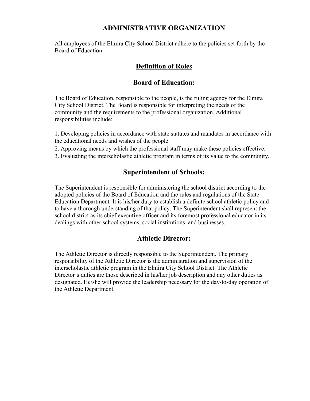### ADMINISTRATIVE ORGANIZATION

All employees of the Elmira City School District adhere to the policies set forth by the Board of Education.

## Definition of Roles

### Board of Education:

The Board of Education, responsible to the people, is the ruling agency for the Elmira City School District. The Board is responsible for interpreting the needs of the community and the requirements to the professional organization. Additional responsibilities include:

1. Developing policies in accordance with state statutes and mandates in accordance with the educational needs and wishes of the people.

2. Approving means by which the professional staff may make these policies effective.

3. Evaluating the interscholastic athletic program in terms of its value to the community.

### Superintendent of Schools:

The Superintendent is responsible for administering the school district according to the adopted policies of the Board of Education and the rules and regulations of the State Education Department. It is his/her duty to establish a definite school athletic policy and to have a thorough understanding of that policy. The Superintendent shall represent the school district as its chief executive officer and its foremost professional educator in its dealings with other school systems, social institutions, and businesses.

#### Athletic Director:

The Athletic Director is directly responsible to the Superintendent. The primary responsibility of the Athletic Director is the administration and supervision of the interscholastic athletic program in the Elmira City School District. The Athletic Director's duties are those described in his/her job description and any other duties as designated. He/she will provide the leadership necessary for the day-to-day operation of the Athletic Department.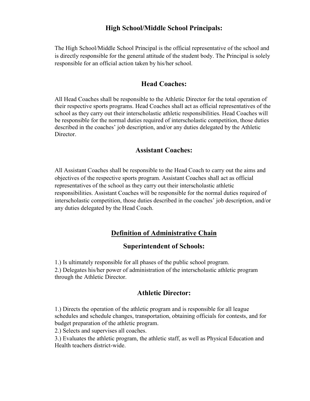## High School/Middle School Principals:

The High School/Middle School Principal is the official representative of the school and is directly responsible for the general attitude of the student body. The Principal is solely responsible for an official action taken by his/her school.

### Head Coaches:

All Head Coaches shall be responsible to the Athletic Director for the total operation of their respective sports programs. Head Coaches shall act as official representatives of the school as they carry out their interscholastic athletic responsibilities. Head Coaches will be responsible for the normal duties required of interscholastic competition, those duties described in the coaches' job description, and/or any duties delegated by the Athletic Director.

### Assistant Coaches:

All Assistant Coaches shall be responsible to the Head Coach to carry out the aims and objectives of the respective sports program. Assistant Coaches shall act as official representatives of the school as they carry out their interscholastic athletic responsibilities. Assistant Coaches will be responsible for the normal duties required of interscholastic competition, those duties described in the coaches' job description, and/or any duties delegated by the Head Coach.

## Definition of Administrative Chain

### Superintendent of Schools:

1.) Is ultimately responsible for all phases of the public school program.

2.) Delegates his/her power of administration of the interscholastic athletic program through the Athletic Director.

### Athletic Director:

1.) Directs the operation of the athletic program and is responsible for all league schedules and schedule changes, transportation, obtaining officials for contests, and for budget preparation of the athletic program.

2.) Selects and supervises all coaches.

3.) Evaluates the athletic program, the athletic staff, as well as Physical Education and Health teachers district-wide.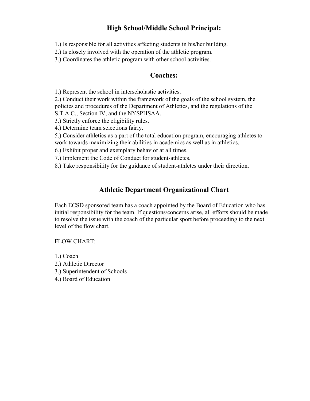## High School/Middle School Principal:

1.) Is responsible for all activities affecting students in his/her building.

2.) Is closely involved with the operation of the athletic program.

3.) Coordinates the athletic program with other school activities.

#### Coaches:

1.) Represent the school in interscholastic activities.

2.) Conduct their work within the framework of the goals of the school system, the policies and procedures of the Department of Athletics, and the regulations of the S.T.A.C., Section IV, and the NYSPHSAA.

3.) Strictly enforce the eligibility rules.

4.) Determine team selections fairly.

5.) Consider athletics as a part of the total education program, encouraging athletes to work towards maximizing their abilities in academics as well as in athletics.

6.) Exhibit proper and exemplary behavior at all times.

7.) Implement the Code of Conduct for student-athletes.

8.) Take responsibility for the guidance of student-athletes under their direction.

## Athletic Department Organizational Chart

Each ECSD sponsored team has a coach appointed by the Board of Education who has initial responsibility for the team. If questions/concerns arise, all efforts should be made to resolve the issue with the coach of the particular sport before proceeding to the next level of the flow chart.

FLOW CHART:

1.) Coach

2.) Athletic Director

3.) Superintendent of Schools

4.) Board of Education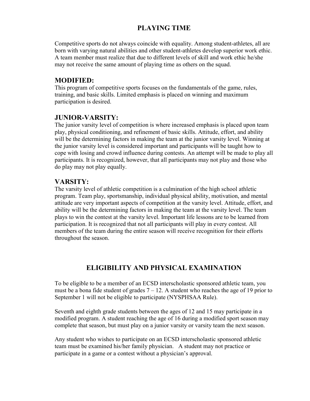## PLAYING TIME

Competitive sports do not always coincide with equality. Among student-athletes, all are born with varying natural abilities and other student-athletes develop superior work ethic. A team member must realize that due to different levels of skill and work ethic he/she may not receive the same amount of playing time as others on the squad.

## MODIFIED:

This program of competitive sports focuses on the fundamentals of the game, rules, training, and basic skills. Limited emphasis is placed on winning and maximum participation is desired.

## JUNIOR-VARSITY:

The junior varsity level of competition is where increased emphasis is placed upon team play, physical conditioning, and refinement of basic skills. Attitude, effort, and ability will be the determining factors in making the team at the junior varsity level. Winning at the junior varsity level is considered important and participants will be taught how to cope with losing and crowd influence during contests. An attempt will be made to play all participants. It is recognized, however, that all participants may not play and those who do play may not play equally.

## VARSITY:

The varsity level of athletic competition is a culmination of the high school athletic program. Team play, sportsmanship, individual physical ability, motivation, and mental attitude are very important aspects of competition at the varsity level. Attitude, effort, and ability will be the determining factors in making the team at the varsity level. The team plays to win the contest at the varsity level. Important life lessons are to be learned from participation. It is recognized that not all participants will play in every contest. All members of the team during the entire season will receive recognition for their efforts throughout the season.

# ELIGIBILITY AND PHYSICAL EXAMINATION

To be eligible to be a member of an ECSD interscholastic sponsored athletic team, you must be a bona fide student of grades  $7 - 12$ . A student who reaches the age of 19 prior to September 1 will not be eligible to participate (NYSPHSAA Rule).

Seventh and eighth grade students between the ages of 12 and 15 may participate in a modified program. A student reaching the age of 16 during a modified sport season may complete that season, but must play on a junior varsity or varsity team the next season.

Any student who wishes to participate on an ECSD interscholastic sponsored athletic team must be examined his/her family physician. A student may not practice or participate in a game or a contest without a physician's approval.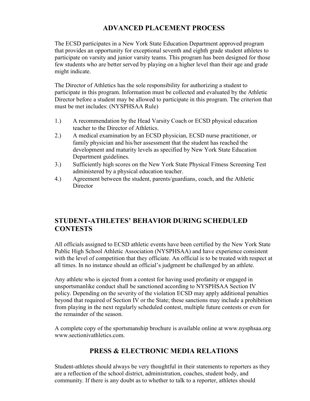## ADVANCED PLACEMENT PROCESS

The ECSD participates in a New York State Education Department approved program that provides an opportunity for exceptional seventh and eighth grade student athletes to participate on varsity and junior varsity teams. This program has been designed for those few students who are better served by playing on a higher level than their age and grade might indicate.

The Director of Athletics has the sole responsibility for authorizing a student to participate in this program. Information must be collected and evaluated by the Athletic Director before a student may be allowed to participate in this program. The criterion that must be met includes: (NYSPHSAA Rule)

- 1.) A recommendation by the Head Varsity Coach or ECSD physical education teacher to the Director of Athletics.
- 2.) A medical examination by an ECSD physician, ECSD nurse practitioner, or family physician and his/her assessment that the student has reached the development and maturity levels as specified by New York State Education Department guidelines.
- 3.) Sufficiently high scores on the New York State Physical Fitness Screening Test administered by a physical education teacher.
- 4.) Agreement between the student, parents/guardians, coach, and the Athletic **Director**

## STUDENT-ATHLETES' BEHAVIOR DURING SCHEDULED **CONTESTS**

All officials assigned to ECSD athletic events have been certified by the New York State Public High School Athletic Association (NYSPHSAA) and have experience consistent with the level of competition that they officiate. An official is to be treated with respect at all times. In no instance should an official's judgment be challenged by an athlete.

Any athlete who is ejected from a contest for having used profanity or engaged in unsportsmanlike conduct shall be sanctioned according to NYSPHSAA Section IV policy. Depending on the severity of the violation ECSD may apply additional penalties beyond that required of Section IV or the State; these sanctions may include a prohibition from playing in the next regularly scheduled contest, multiple future contests or even for the remainder of the season.

A complete copy of the sportsmanship brochure is available online at www.nysphsaa.org www.sectionivathletics.com.

## PRESS & ELECTRONIC MEDIA RELATIONS

Student-athletes should always be very thoughtful in their statements to reporters as they are a reflection of the school district, administration, coaches, student body, and community. If there is any doubt as to whether to talk to a reporter, athletes should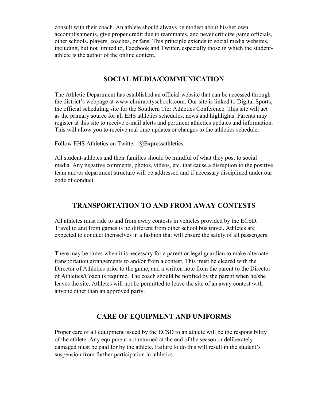consult with their coach. An athlete should always be modest about his/her own accomplishments, give proper credit due to teammates, and never criticize game officials, other schools, players, coaches, or fans. This principle extends to social media websites, including, but not limited to, Facebook and Twitter, especially those in which the studentathlete is the author of the online content.

## SOCIAL MEDIA/COMMUNICATION

The Athletic Department has established an official website that can be accessed through the district's webpage at www.elmiracityschools.com. Our site is linked to Digital Sports, the official scheduling site for the Southern Tier Athletics Conference. This site will act as the primary source for all EHS athletics schedules, news and highlights. Parents may register at this site to receive e-mail alerts and pertinent athletics updates and information. This will allow you to receive real time updates or changes to the athletics schedule:

Follow EHS Athletics on Twitter: @Expressathletics

All student-athletes and their families should be mindful of what they post to social media. Any negative comments, photos, videos, etc. that cause a disruption to the positive team and/or department structure will be addressed and if necessary disciplined under our code of conduct.

## TRANSPORTATION TO AND FROM AWAY CONTESTS

All athletes must ride to and from away contests in vehicles provided by the ECSD. Travel to and from games is no different from other school bus travel. Athletes are expected to conduct themselves in a fashion that will ensure the safety of all passengers.

There may be times when it is necessary for a parent or legal guardian to make alternate transportation arrangements to and/or from a contest. This must be cleared with the Director of Athletics prior to the game, and a written note from the parent to the Director of Athletics/Coach is required. The coach should be notified by the parent when he/she leaves the site. Athletes will not be permitted to leave the site of an away contest with anyone other than an approved party.

## CARE OF EQUIPMENT AND UNIFORMS

Proper care of all equipment issued by the ECSD to an athlete will be the responsibility of the athlete. Any equipment not returned at the end of the season or deliberately damaged must be paid for by the athlete. Failure to do this will result in the student's suspension from further participation in athletics.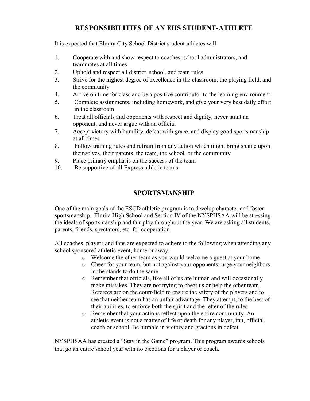## RESPONSIBILITIES OF AN EHS STUDENT-ATHLETE

It is expected that Elmira City School District student-athletes will:

- 1. Cooperate with and show respect to coaches, school administrators, and teammates at all times
- 2. Uphold and respect all district, school, and team rules
- 3. Strive for the highest degree of excellence in the classroom, the playing field, and the community
- 4. Arrive on time for class and be a positive contributor to the learning environment
- 5. Complete assignments, including homework, and give your very best daily effort in the classroom
- 6. Treat all officials and opponents with respect and dignity, never taunt an opponent, and never argue with an official
- 7. Accept victory with humility, defeat with grace, and display good sportsmanship at all times
- 8. Follow training rules and refrain from any action which might bring shame upon themselves, their parents, the team, the school, or the community
- 9. Place primary emphasis on the success of the team
- 10. Be supportive of all Express athletic teams.

## SPORTSMANSHIP

One of the main goals of the ESCD athletic program is to develop character and foster sportsmanship. Elmira High School and Section IV of the NYSPHSAA will be stressing the ideals of sportsmanship and fair play throughout the year. We are asking all students, parents, friends, spectators, etc. for cooperation.

All coaches, players and fans are expected to adhere to the following when attending any school sponsored athletic event, home or away:

- o Welcome the other team as you would welcome a guest at your home
- o Cheer for your team, but not against your opponents; urge your neighbors in the stands to do the same
- o Remember that officials, like all of us are human and will occasionally make mistakes. They are not trying to cheat us or help the other team. Referees are on the court/field to ensure the safety of the players and to see that neither team has an unfair advantage. They attempt, to the best of their abilities, to enforce both the spirit and the letter of the rules
- o Remember that your actions reflect upon the entire community. An athletic event is not a matter of life or death for any player, fan, official, coach or school. Be humble in victory and gracious in defeat

NYSPHSAA has created a "Stay in the Game" program. This program awards schools that go an entire school year with no ejections for a player or coach.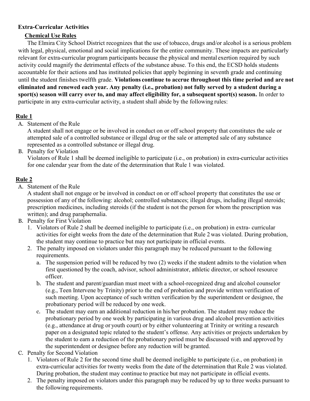### Extra-Curricular Activities

## Chemical Use Rules

The Elmira City School District recognizes that the use of tobacco, drugs and/or alcohol is a serious problem with legal, physical, emotional and social implications for the entire community. These impacts are particularly relevant for extra-curricular program participants because the physical and mental exertion required by such activity could magnify the detrimental effects of the substance abuse. To this end, the ECSD holds students accountable for their actions and has instituted policies that apply beginning in seventh grade and continuing until the student finishes twelfth grade. Violations continue to accrue throughout this time period and are not eliminated and renewed each year. Any penalty (i.e., probation) not fully served by a student during a sport(s) season will carry over to, and may affect eligibility for, a subsequent sport(s) season. In order to participate in any extra-curricular activity, a student shall abide by the following rules:

## Rule 1

A. Statement of the Rule

A student shall not engage or be involved in conduct on or off school property that constitutes the sale or attempted sale of a controlled substance or illegal drug or the sale or attempted sale of any substance represented as a controlled substance or illegal drug.

B. Penalty for Violation

Violators of Rule 1 shall be deemed ineligible to participate (i.e., on probation) in extra-curricular activities for one calendar year from the date of the determination that Rule 1 was violated.

## Rule 2

A. Statement of the Rule

A student shall not engage or be involved in conduct on or off school property that constitutes the use or possession of any of the following: alcohol; controlled substances; illegal drugs, including illegal steroids; prescription medicines, including steroids (if the student is not the person for whom the prescription was written); and drug paraphernalia.

- B. Penalty for First Violation
	- 1. Violators of Rule 2 shall be deemed ineligible to participate (i.e., on probation) in extra- curricular activities for eight weeks from the date of the determination that Rule 2 was violated. During probation, the student may continue to practice but may not participate in official events.
	- 2. The penalty imposed on violators under this paragraph may be reduced pursuant to the following requirements.
		- a. The suspension period will be reduced by two (2) weeks if the student admits to the violation when first questioned by the coach, advisor, school administrator, athletic director, or school resource officer.
		- b. The student and parent/guardian must meet with a school-recognized drug and alcohol counselor (e.g., Teen Intervene by Trinity) prior to the end of probation and provide written verification of such meeting. Upon acceptance of such written verification by the superintendent or designee, the probationary period will be reduced by one week.
		- c. The student may earn an additional reduction in his/her probation. The student may reduce the probationary period by one week by participating in various drug and alcohol prevention activities (e.g., attendance at drug or youth court) or by either volunteering at Trinity or writing a research paper on a designated topic related to the student's offense. Any activities or projects undertaken by the student to earn a reduction of the probationary period must be discussed with and approved by the superintendent or designee before any reduction will be granted.

#### C. Penalty for Second Violation

- 1. Violators of Rule 2 for the second time shall be deemed ineligible to participate (i.e., on probation) in extra-curricular activities for twenty weeks from the date of the determination that Rule 2 was violated. During probation, the student may continue to practice but may not participate in official events.
- 2. The penalty imposed on violators under this paragraph may be reduced by up to three weeks pursuant to the following requirements.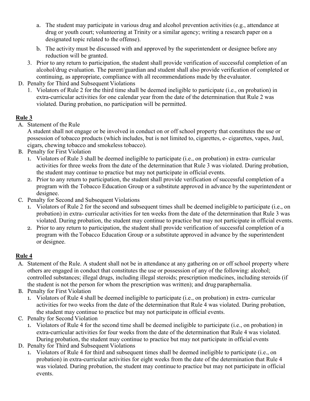- a. The student may participate in various drug and alcohol prevention activities (e.g., attendance at drug or youth court; volunteering at Trinity or a similar agency; writing a research paper on a designated topic related to the offense).
- b. The activity must be discussed with and approved by the superintendent or designee before any reduction will be granted.
- 3. Prior to any return to participation, the student shall provide verification of successful completion of an alcohol/drug evaluation. The parent/guardian and student shall also provide verification of completed or continuing, as appropriate, compliance with all recommendations made by the evaluator.
- D. Penalty for Third and Subsequent Violations
	- 1. Violators of Rule 2 for the third time shall be deemed ineligible to participate (i.e., on probation) in extra-curricular activities for one calendar year from the date of the determination that Rule 2 was violated. During probation, no participation will be permitted.

## Rule 3

- A. Statement of the Rule
	- A student shall not engage or be involved in conduct on or off school property that constitutes the use or possession of tobacco products (which includes, but is not limited to, cigarettes, e- cigarettes, vapes, Juul, cigars, chewing tobacco and smokeless tobacco).
- B. Penalty for First Violation
	- 1. Violators of Rule 3 shall be deemed ineligible to participate (i.e., on probation) in extra- curricular activities for three weeks from the date of the determination that Rule 3 was violated. During probation, the student may continue to practice but may not participate in official events.
	- 2. Prior to any return to participation, the student shall provide verification of successful completion of a program with the Tobacco Education Group or a substitute approved in advance by the superintendent or designee.
- C. Penalty for Second and Subsequent Violations
	- 1. Violators of Rule 2 for the second and subsequent times shall be deemed ineligible to participate (i.e., on probation) in extra- curricular activities for ten weeks from the date of the determination that Rule 3 was violated. During probation, the student may continue to practice but may not participate in official events.
	- 2. Prior to any return to participation, the student shall provide verification of successful completion of a program with the Tobacco Education Group or a substitute approved in advance by the superintendent or designee.

## Rule 4

- A. Statement of the Rule. A student shall not be in attendance at any gathering on or off school property where others are engaged in conduct that constitutes the use or possession of any of the following: alcohol; controlled substances; illegal drugs, including illegal steroids; prescription medicines, including steroids (if the student is not the person for whom the prescription was written); and drug paraphernalia.
- B. Penalty for First Violation
	- 1. Violators of Rule 4 shall be deemed ineligible to participate (i.e., on probation) in extra- curricular activities for two weeks from the date of the determination that Rule 4 was violated. During probation, the student may continue to practice but may not participate in official events.
- C. Penalty for Second Violation
	- 1. Violators of Rule 4 for the second time shall be deemed ineligible to participate (i.e., on probation) in extra-curricular activities for four weeks from the date of the determination that Rule 4 was violated. During probation, the student may continue to practice but may not participate in official events
- D. Penalty for Third and Subsequent Violations
	- 1. Violators of Rule 4 for third and subsequent times shall be deemed ineligible to participate (i.e., on probation) in extra-curricular activities for eight weeks from the date of the determination that Rule 4 was violated. During probation, the student may continue to practice but may not participate in official events.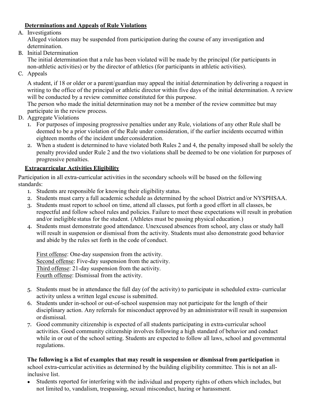## Determinations and Appeals of Rule Violations

A. Investigations

Alleged violators may be suspended from participation during the course of any investigation and determination.

B. Initial Determination

The initial determination that a rule has been violated will be made by the principal (for participants in non-athletic activities) or by the director of athletics (for participants in athletic activities).

C. Appeals

A student, if 18 or older or a parent/guardian may appeal the initial determination by delivering a request in writing to the office of the principal or athletic director within five days of the initial determination. A review will be conducted by a review committee constituted for this purpose.

The person who made the initial determination may not be a member of the review committee but may participate in the review process.

- D. Aggregate Violations
	- 1. For purposes of imposing progressive penalties under any Rule, violations of any other Rule shall be deemed to be a prior violation of the Rule under consideration, if the earlier incidents occurred within eighteen months of the incident under consideration.
	- 2. When a student is determined to have violated both Rules 2 and 4, the penalty imposed shall be solely the penalty provided under Rule 2 and the two violations shall be deemed to be one violation for purposes of progressive penalties.

## Extracurricular Activities Eligibility

Participation in all extra-curricular activities in the secondary schools will be based on the following standards:

- 1. Students are responsible for knowing their eligibility status.
- 2. Students must carry a full academic schedule as determined by the school District and/or NYSPHSAA.
- 3. Students must report to school on time, attend all classes, put forth a good effort in all classes, be respectful and follow school rules and policies. Failure to meet these expectations will result in probation and/or ineligible status for the student. (Athletes must be passing physical education.)
- 4. Students must demonstrate good attendance. Unexcused absences from school, any class or study hall will result in suspension or dismissal from the activity. Students must also demonstrate good behavior and abide by the rules set forth in the code of conduct.

First offense: One-day suspension from the activity. Second offense: Five-day suspension from the activity. Third offense: 21-day suspension from the activity. Fourth offense: Dismissal from the activity.

- 5. Students must be in attendance the full day (of the activity) to participate in scheduled extra- curricular activity unless a written legal excuse is submitted.
- 6. Students under in-school or out-of-school suspension may not participate for the length of their disciplinary action. Any referrals for misconduct approved by an administrator will result in suspension or dismissal.
- 7. Good community citizenship is expected of all students participating in extra-curricular school activities. Good community citizenship involves following a high standard of behavior and conduct while in or out of the school setting. Students are expected to follow all laws, school and governmental regulations.

The following is a list of examples that may result in suspension or dismissal from participation in school extra-curricular activities as determined by the building eligibility committee. This is not an allinclusive list.

 Students reported for interfering with the individual and property rights of others which includes, but not limited to, vandalism, trespassing, sexual misconduct, hazing or harassment.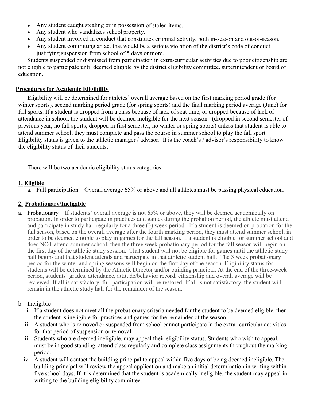- Any student caught stealing or in possession of stolen items.
- Any student who vandalizes school property.
- Any student involved in conduct that constitutes criminal activity, both in-season and out-of-season.
- Any student committing an act that would be a serious violation of the district's code of conduct justifying suspension from school of 5 days or more.

Students suspended or dismissed from participation in extra-curricular activities due to poor citizenship are not eligible to participate until deemed eligible by the district eligibility committee, superintendent or board of education.

#### Procedures for Academic Eligibility

Eligibility will be determined for athletes' overall average based on the first marking period grade (for winter sports), second marking period grade (for spring sports) and the final marking period average (June) for fall sports. If a student is dropped from a class because of lack of seat time, or dropped because of lack of attendance in school, the student will be deemed ineligible for the next season. (dropped in second semester of previous year, no fall sports; dropped in first semester, no winter or spring sports) unless that student is able to attend summer school, they must complete and pass the course in summer school to play the fall sport. Eligibility status is given to the athletic manager / advisor. It is the coach's / advisor's responsibility to know the eligibility status of their students.

There will be two academic eligibility status categories:

## 1. Eligible

a. Full participation – Overall average 65% or above and all athletes must be passing physical education.

### 2. Probationary/Ineligible

- a. Probationary If students' overall average is not 65% or above, they will be deemed academically on probation. In order to participate in practices and games during the probation period, the athlete must attend and participate in study hall regularly for a three (3) week period. If a student is deemed on probation for the fall season, based on the overall average after the fourth marking period, they must attend summer school, in order to be deemed eligible to play in games for the fall season. If a student is eligible for summer school and does NOT attend summer school, then the three week probationary period for the fall season will begin on the first day of the athletic study session. That student will not be eligible for games until the athletic study hall begins and that student attends and participate in that athletic student hall. The 3 week probationary period for the winter and spring seasons will begin on the first day of the season. Eligibility status for students will be determined by the Athletic Director and/or building principal. At the end of the three-week period, students' grades, attendance, attitude/behavior record, citizenship and overall average will be reviewed. If all is satisfactory, full participation will be restored. If all is not satisfactory, the student will remain in the athletic study hall for the remainder of the season.
- b. Ineligible
	- i. If a student does not meet all the probationary criteria needed for the student to be deemed eligible, then the student is ineligible for practices and games for the remainder of the season.
	- ii. A student who is removed or suspended from school cannot participate in the extra- curricular activities for that period of suspension or removal.
	- iii. Students who are deemed ineligible, may appeal their eligibility status. Students who wish to appeal, must be in good standing, attend class regularly and complete class assignments throughout the marking period.
	- iv. A student will contact the building principal to appeal within five days of being deemed ineligible. The building principal will review the appeal application and make an initial determination in writing within five school days. If it is determined that the student is academically ineligible, the student may appeal in writing to the building eligibility committee.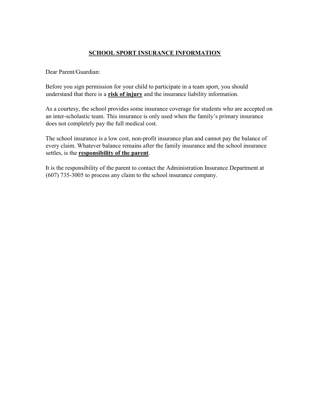### SCHOOL SPORT INSURANCE INFORMATION

Dear Parent/Guardian:

Before you sign permission for your child to participate in a team sport, you should understand that there is a risk of injury and the insurance liability information.

As a courtesy, the school provides some insurance coverage for students who are accepted on an inter-scholastic team. This insurance is only used when the family's primary insurance does not completely pay the full medical cost.

The school insurance is a low cost, non-profit insurance plan and cannot pay the balance of every claim. Whatever balance remains after the family insurance and the school insurance settles, is the **responsibility of the parent**.

It is the responsibility of the parent to contact the Administration Insurance Department at (607) 735-3005 to process any claim to the school insurance company.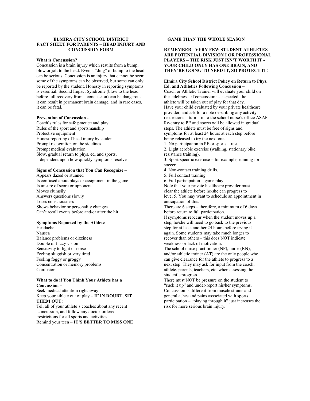#### ELMIRA CITY SCHOOL DISTRICT FACT SHEET FOR PARENTS – HEAD INJURY AND CONCUSSION FORM

#### What is Concussion?

Concussion is a brain injury which results from a bump, blow or jolt to the head. Even a "ding" or bump to the head can be serious. Concussion is an injury that cannot be seen; some of the symptoms can be observed, but some can only be reported by the student. Honesty in reporting symptoms is essential. Second Impact Syndrome (blow to the head before full recovery from a concussion) can be dangerous; it can result in permanent brain damage, and in rare cases, it can be fatal.

#### Prevention of Concussion -

Coach's rules for safe practice and play Rules of the sport and sportsmanship Protective equipment Honest reporting of head injury by student Prompt recognition on the sidelines Prompt medical evaluation Slow, gradual return to phys. ed. and sports, dependent upon how quickly symptoms resolve

#### Signs of Concussion that You Can Recognize –

Appears dazed or stunned Is confused about plays or assignment in the game Is unsure of score or opponent Moves clumsily Answers questions slowly Loses consciousness Shows behavior or personality changes Can't recall events before and/or after the hit

#### Symptoms Reported by the Athlete -

Headache Nausea Balance problems or dizziness Double or fuzzy vision Sensitivity to light or noise Feeling sluggish or very tired Feeling foggy or groggy Concentration or memory problems Confusion

#### What to do if You Think Your Athlete has a Concussion –

Seek medical attention right away Keep your athlete out of play  $-$  IF IN DOUBT, SIT THEM OUT!

Tell all of your athlete's coaches about any recent concussion, and follow any doctor-ordered restrictions for all sports and activities Remind your teen – IT'S BETTER TO MISS ONE

#### GAME THAN THE WHOLE SEASON

REMEMBER - VERY FEW STUDENT ATHLETES ARE POTENTIAL DIVISION I OR PROFESSIONAL PLAYERS – THE RISK JUST ISN'T WORTH IT - YOUR CHILD ONLY HAS ONE BRAIN, AND THEY'RE GOING TO NEED IT, SO PROTECT IT!

#### Elmira City School District Policy on Return to Phys. Ed. and Athletics Following Concussion –

Coach or Athletic Trainer will evaluate your child on the sidelines – if concussion is suspected, the athlete will be taken out of play for that day. Have your child evaluated by your private healthcare provider, and ask for a note describing any activity restrictions – turn it in to the school nurse's office ASAP. Re-entry to PE and sports will be allowed in gradual steps. The athlete must be free of signs and symptoms for at least 24 hours at each step before being released to try the next one:

1. No participation in PE or sports – rest.

2. Light aerobic exercise (walking, stationary bike, resistance training).

3. Sport-specific exercise – for example, running for soccer.

4. Non-contact training drills.

5. Full contact training.

6. Full participation – game play.

Note that your private healthcare provider must

clear the athlete before he/she can progress to level 5. You may want to schedule an appointment in anticipation of this.

There are 6 steps – therefore, a minimum of 6 days before return to full participation.

If symptoms reoccur when the student moves up a step, he/she will need to go back to the previous step for at least another 24 hours before trying it again. Some students may take much longer to recover than others – this does NOT indicate weakness or lack of motivation.

The school nurse practitioner (NP), nurse (RN), and/or athletic trainer (AT) are the only people who can give clearance for the athlete to progress to a next step. They may ask for input from the coach, athlete, parents, teachers, etc. when assessing the student's progress.

There must NOT be pressure on the student to "suck it up" and under-report his/her symptoms. Concussion is different from muscle strains and general aches and pains associated with sports participation – "playing through it" just increases the risk for more serious brain injury.